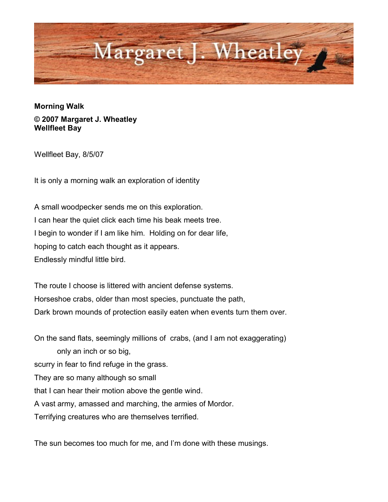

**Morning Walk © 2007 Margaret J. Wheatley Wellfleet Bay**

Wellfleet Bay, 8/5/07

It is only a morning walk an exploration of identity

A small woodpecker sends me on this exploration. I can hear the quiet click each time his beak meets tree. I begin to wonder if I am like him. Holding on for dear life, hoping to catch each thought as it appears. Endlessly mindful little bird.

The route I choose is littered with ancient defense systems. Horseshoe crabs, older than most species, punctuate the path, Dark brown mounds of protection easily eaten when events turn them over.

On the sand flats, seemingly millions of crabs, (and I am not exaggerating) only an inch or so big, scurry in fear to find refuge in the grass. They are so many although so small that I can hear their motion above the gentle wind. A vast army, amassed and marching, the armies of Mordor. Terrifying creatures who are themselves terrified.

The sun becomes too much for me, and I'm done with these musings.